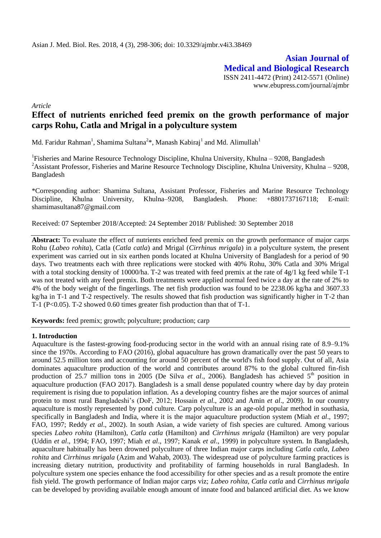**Asian Journal of Medical and Biological Research** ISSN 2411-4472 (Print) 2412-5571 (Online) www.ebupress.com/journal/ajmbr

*Article*

# **Effect of nutrients enriched feed premix on the growth performance of major carps Rohu, Catla and Mrigal in a polyculture system**

Md. Faridur Rahman<sup>1</sup>, Shamima Sultana<sup>2</sup>\*, Manash Kabiraj<sup>1</sup> and Md. Alimullah<sup>1</sup>

<sup>1</sup>Fisheries and Marine Resource Technology Discipline, Khulna University, Khulna – 9208, Bangladesh <sup>2</sup>Assistant Professor, Fisheries and Marine Resource Technology Discipline, Khulna University, Khulna – 9208, Bangladesh

\*Corresponding author: Shamima Sultana, Assistant Professor, Fisheries and Marine Resource Technology Discipline, Khulna University, Khulna–9208, Bangladesh. Phone: +8801737167118; E-mail: shamimasultana87@gmail.com

Received: 07 September 2018/Accepted: 24 September 2018/ Published: 30 September 2018

**Abstract:** To evaluate the effect of nutrients enriched feed premix on the growth performance of major carps Rohu (*Labeo rohita*), Catla (*Catla catla*) and Mrigal (*Cirrhinus mrigala*) in a polyculture system, the present experiment was carried out in six earthen ponds located at Khulna University of Bangladesh for a period of 90 days. Two treatments each with three replications were stocked with 40% Rohu, 30% Catla and 30% Mrigal with a total stocking density of 10000/ha. T-2 was treated with feed premix at the rate of 4g/1 kg feed while T-1 was not treated with any feed premix. Both treatments were applied normal feed twice a day at the rate of 2% to 4% of the body weight of the fingerlings. The net fish production was found to be 2238.06 kg/ha and 3607.33 kg/ha in T-1 and T-2 respectively. The results showed that fish production was significantly higher in T-2 than T-1 (P<0.05). T-2 showed 0.60 times greater fish production than that of T-1.

**Keywords:** feed premix; growth; polyculture; production; carp

#### **1. Introduction**

Aquaculture is the fastest-growing food-producing sector in the world with an annual rising rate of 8.9–9.1% since the 1970s. According to FAO (2016), global aquaculture has grown dramatically over the past 50 years to around 52.5 million tons and accounting for around 50 percent of the world's fish food supply. Out of all, Asia dominates aquaculture production of the world and contributes around 87% to the global cultured fin-fish production of 25.7 million tons in 2005 (De Silva *et al.*, 2006). Bangladesh has achieved 5<sup>th</sup> position in aquaculture production (FAO 2017). Bangladesh is a small dense populated country where day by day protein requirement is rising due to population inflation. As a developing country fishes are the major sources of animal protein to most rural Bangladeshi's (DoF, 2012; Hossain *et al*., 2002 and Amin *et al*., 2009). In our country aquaculture is mostly represented by pond culture. Carp polyculture is an age-old popular method in southasia, specifically in Bangladesh and India, where it is the major aquaculture production system (Miah *et al*., 1997; FAO, 1997; Reddy *et al*., 2002). In south Asian, a wide variety of fish species are cultured. Among various species *Labeo rohita* (Hamilton), *Catla catla* (Hamilton) and *Cirrhinus mrigala* (Hamilton) are very popular (Uddin *et al*., 1994; FAO, 1997; Miah *et al*., 1997; Kanak *et al*., 1999) in polyculture system. In Bangladesh, aquaculture habitually has been drowned polyculture of three Indian major carps including *Catla catla*, *Labeo rohita* and *Cirrhinus mrigala* (Azim and Wahab, 2003). The widespread use of polyculture farming practices is increasing dietary nutrition, productivity and profitability of farming households in rural Bangladesh. In polyculture system one species enhance the food accessibility for other species and as a result promote the entire fish yield. The growth performance of Indian major carps viz; *Labeo rohita, Catla catla* and *Cirrhinus mrigala*  can be developed by providing available enough amount of innate food and balanced artificial diet. As we know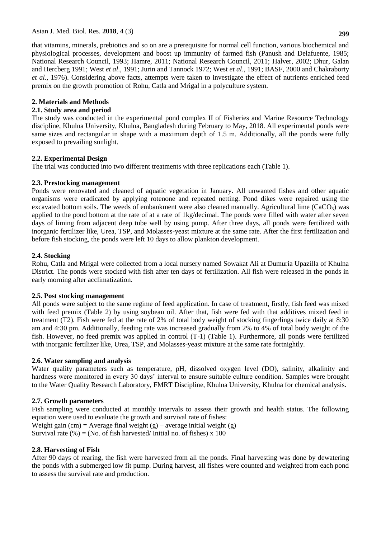that vitamins, minerals, prebiotics and so on are a prerequisite for normal cell function, various biochemical and physiological processes, development and boost up immunity of farmed fish (Panush and Delafuente, 1985; National Research Council, 1993; Hamre, 2011; National Research Council, 2011; Halver, 2002; Dhur, Galan and Hercberg 1991; West *et al*., 1991; Jurin and Tannock 1972; West *et al*., 1991; BASF, 2000 and Chakraborty *et al*., 1976). Considering above facts, attempts were taken to investigate the effect of nutrients enriched feed premix on the growth promotion of Rohu, Catla and Mrigal in a polyculture system.

# **2. Materials and Methods**

### **2.1. Study area and period**

The study was conducted in the experimental pond complex II of Fisheries and Marine Resource Technology discipline, Khulna University, Khulna, Bangladesh during February to May, 2018. All experimental ponds were same sizes and rectangular in shape with a maximum depth of 1.5 m. Additionally, all the ponds were fully exposed to prevailing sunlight.

### **2.2. Experimental Design**

The trial was conducted into two different treatments with three replications each (Table 1).

### **2.3. Prestocking management**

Ponds were renovated and cleaned of aquatic vegetation in January. All unwanted fishes and other aquatic organisms were eradicated by applying rotenone and repeated netting. Pond dikes were repaired using the excavated bottom soils. The weeds of embankment were also cleaned manually. Agricultural lime ( $CaCO<sub>3</sub>$ ) was applied to the pond bottom at the rate of at a rate of 1kg/decimal. The ponds were filled with water after seven days of liming from adjacent deep tube well by using pump. After three days, all ponds were fertilized with inorganic fertilizer like, Urea, TSP, and Molasses-yeast mixture at the same rate. After the first fertilization and before fish stocking, the ponds were left 10 days to allow plankton development.

### **2.4. Stocking**

Rohu, Catla and Mrigal were collected from a local nursery named Sowakat Ali at Dumuria Upazilla of Khulna District. The ponds were stocked with fish after ten days of fertilization. All fish were released in the ponds in early morning after acclimatization.

### **2.5. Post stocking management**

All ponds were subject to the same regime of feed application. In case of treatment, firstly, fish feed was mixed with feed premix (Table 2) by using soybean oil. After that, fish were fed with that additives mixed feed in treatment (T2). Fish were fed at the rate of 2% of total body weight of stocking fingerlings twice daily at 8:30 am and 4:30 pm. Additionally, feeding rate was increased gradually from 2% to 4% of total body weight of the fish. However, no feed premix was applied in control (T-1) (Table 1). Furthermore, all ponds were fertilized with inorganic fertilizer like, Urea, TSP, and Molasses-yeast mixture at the same rate fortnightly.

# **2.6. Water sampling and analysis**

Water quality parameters such as temperature, pH, dissolved oxygen level (DO), salinity, alkalinity and hardness were monitored in every 30 days' interval to ensure suitable culture condition. Samples were brought to the Water Quality Research Laboratory, FMRT Discipline, Khulna University, Khulna for chemical analysis.

# **2.7. Growth parameters**

Fish sampling were conducted at monthly intervals to assess their growth and health status. The following equation were used to evaluate the growth and survival rate of fishes: Weight gain (cm) = Average final weight  $(g)$  – average initial weight  $(g)$ Survival rate  $(\%) = (No. of fish harvested/ Initial no. of fishes) \times 100$ 

### **2.8. Harvesting of Fish**

After 90 days of rearing, the fish were harvested from all the ponds. Final harvesting was done by dewatering the ponds with a submerged low fit pump. During harvest, all fishes were counted and weighted from each pond to assess the survival rate and production.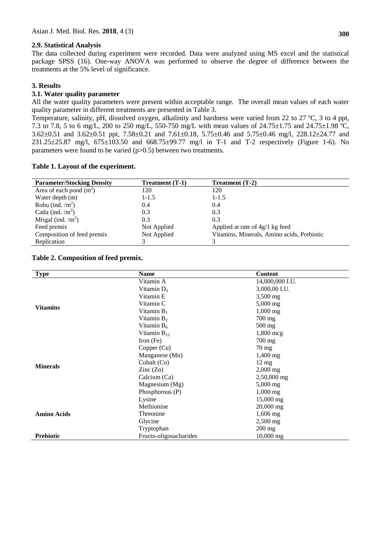#### **2.9. Statistical Analysis**

The data collected during experiment were recorded. Data were analyzed using MS excel and the statistical package SPSS (16). One-way ANOVA was performed to observe the degree of difference between the treatments at the 5% level of significance.

### **3. Results**

### **3.1. Water quality parameter**

All the water quality parameters were present within acceptable range. The overall mean values of each water quality parameter in different treatments are presented in Table 3.

Temperature, salinity, pH, dissolved oxygen, alkalinity and hardness were varied from 22 to 27 ºC, 3 to 4 ppt, 7.3 to 7.8, 5 to 6 mg/L, 200 to 250 mg/L, 550-750 mg/L with mean values of 24.75±1.75 and 24.75±1.98 ºC, 3.62±0.51 and 3.62±0.51 ppt, 7.58±0.21 and 7.61±0.18, 5.75±0.46 and 5.75±0.46 mg/l, 228.12±24.77 and 231.25±25.87 mg/l, 675±103.50 and 668.75±99.77 mg/l in T-1 and T-2 respectively (Figure 1-6). No parameters were found to be varied (p>0.5) between two treatments.

#### **Table 1. Layout of the experiment.**

| <b>Parameter/Stocking Density</b> | Treatment (T-1) | Treatment (T-2)                            |
|-----------------------------------|-----------------|--------------------------------------------|
| Area of each pond $(m2)$          | 120             | 120                                        |
| Water depth (m)                   | $1 - 1.5$       | $1 - 1.5$                                  |
| Rohu (ind. $/m2$ )                | 0.4             | 0.4                                        |
| Catla (ind. $/m2$ )               | 0.3             | 0.3                                        |
| Mrigal (ind. $/m2$ )              | 0.3             | 0.3                                        |
| Feed premix                       | Not Applied     | Applied at rate of $4g/1$ kg feed          |
| Composition of feed premix        | Not Applied     | Vitamins, Minerals, Amino acids, Prebiotic |
| Replication                       |                 |                                            |

#### **Table 2. Composition of feed premix.**

| <b>Type</b>        | <b>Name</b>              | <b>Content</b>         |
|--------------------|--------------------------|------------------------|
|                    | Vitamin A                | 14,000,000 I.U.        |
|                    | Vitamin $D_3$            | 3,000,00 I.U.          |
|                    | Vitamin E                | 3,500 mg               |
| <b>Vitamins</b>    | Vitamin C                | 5,000 mg               |
|                    | Vitamin $B_1$            | $1,000$ mg             |
|                    | Vitamin $B_2$            | $700 \text{ mg}$       |
|                    | Vitamin $B_6$            | $500$ mg               |
|                    | Vitamin $B_{12}$         | $1,800$ mcg            |
|                    | $\text{Iron}(\text{Fe})$ | 700 mg                 |
|                    | Copper (Cu)              | $70 \text{ mg}$        |
|                    | Manganese (Mn)           | $1,400$ mg             |
| <b>Minerals</b>    | Cobalt (Co)              | $12 \text{ mg}$        |
|                    | $\text{Zinc}(\text{Zn})$ | $2,000$ mg             |
|                    | Calcium (Ca)             | 2,50,000 mg            |
|                    | Magnesium (Mg)           | $5,000$ mg             |
|                    | Phosphorous (P)          | $1,000 \,\mathrm{mg}$  |
|                    | Lysine                   | $15,000 \,\mathrm{mg}$ |
|                    | Methionine               | 20,000 mg              |
| <b>Amino Acids</b> | Threonine                | 1,606 mg               |
|                    | Glycine                  | $2,500$ mg             |
|                    | Tryptophan               | $200$ mg               |
| <b>Prebiotic</b>   | Fructo-oligosacharides   | $10,000$ mg            |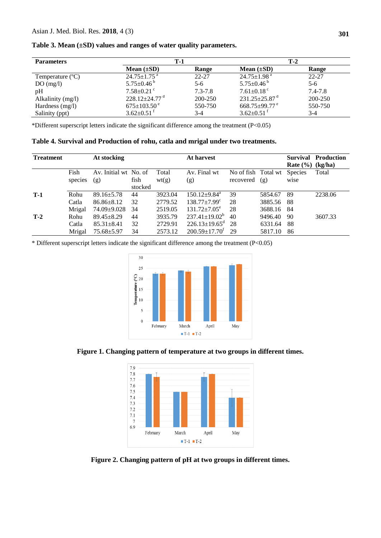| <b>Parameters</b> | $T-1$                           |             | T-2                             |           |  |
|-------------------|---------------------------------|-------------|---------------------------------|-----------|--|
|                   | Mean $(\pm SD)$                 | Range       | Mean $(\pm SD)$                 | Range     |  |
| Temperature $(C)$ | $24.75 \pm 1.75$ <sup>a</sup>   | $22 - 27$   | $24.75 \pm 1.98$ <sup>a</sup>   | $22 - 27$ |  |
| DO(mg/l)          | 5.75 $\pm$ 0.46 <sup>b</sup>    | 5-6         | 5.75 $\pm$ 0.46 <sup>b</sup>    | $5-6$     |  |
| pH                | $7.58 \pm 0.21$ <sup>c</sup>    | $7.3 - 7.8$ | $7.61 \pm 0.18$ <sup>c</sup>    | 7.4-7.8   |  |
| Alkalinity (mg/l) | $228.12 \pm 24.77$ <sup>d</sup> | 200-250     | $231.25 \pm 25.87$ <sup>d</sup> | 200-250   |  |
| Hardness (mg/l)   | $675 \pm 103.50^{\circ}$        | 550-750     | $668.75 \pm 99.77$ <sup>e</sup> | 550-750   |  |
| Salinity (ppt)    | $3.62 \pm 0.51$ <sup>f</sup>    | $3-4$       | $3.62 \pm 0.51$ <sup>f</sup>    | $3-4$     |  |

**Table 3. Mean (±SD) values and ranges of water quality parameters.**

\*Different superscript letters indicate the significant difference among the treatment  $(P<0.05)$ 

**Table 4. Survival and Production of rohu, catla and mrigal under two treatments.**

| <b>Treatment</b> |         | At stocking           |                 |         | At harvest                      |                     |         | <b>Survival</b><br>Rate $(\% )$ | <b>Production</b><br>(kg/ha) |
|------------------|---------|-----------------------|-----------------|---------|---------------------------------|---------------------|---------|---------------------------------|------------------------------|
|                  | Fish    | Av. Initial wt No. of |                 | Total   | Av. Final wt                    | No of fish Total wt |         | <b>Species</b>                  | Total                        |
|                  | species | (g)                   | fish<br>stocked | wt(g)   | (g)                             | recovered           | (g)     | wise                            |                              |
| $T-1$            | Rohu    | $89.16 \pm 5.78$      | 44              | 3923.04 | $150.12 \pm 9.84$ <sup>a</sup>  | 39                  | 5854.67 | -89                             | 2238.06                      |
|                  | Catla   | $86.86 \pm 8.12$      | 32              | 2779.52 | $138.77 \pm 7.99$ <sup>c</sup>  | 28                  | 3885.56 | 88                              |                              |
|                  | Mrigal  | 74.09±9.028           | 34              | 2519.05 | $131.72 \pm 7.05^e$             | 28                  | 3688.16 | 84                              |                              |
| $T-2$            | Rohu    | $89.45 + 8.29$        | 44              | 3935.79 | $237.41 \pm 19.02^b$            | 40                  | 9496.40 | 90                              | 3607.33                      |
|                  | Catla   | $85.31 \pm 8.41$      | 32              | 2729.91 | $226.13 \pm 19.65$ <sup>d</sup> | -28                 | 6331.64 | 88                              |                              |
|                  | Mrigal  | $75.68 + 5.97$        | 34              | 2573.12 | $200.59 \pm 17.70^t$            | 29                  | 5817.10 | 86                              |                              |

\* Different superscript letters indicate the significant difference among the treatment (P<0.05)



**Figure 1. Changing pattern of temperature at two groups in different times.**



**Figure 2. Changing pattern of pH at two groups in different times.**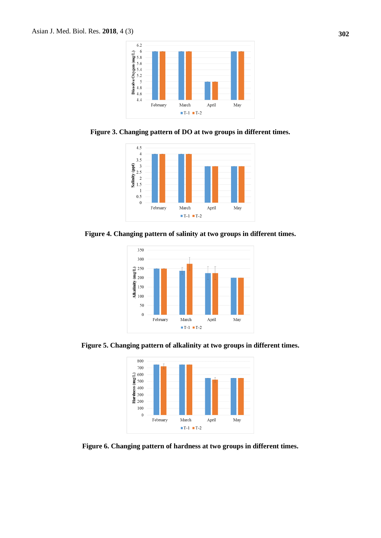

**Figure 3. Changing pattern of DO at two groups in different times.**



**Figure 4. Changing pattern of salinity at two groups in different times.**



**Figure 5. Changing pattern of alkalinity at two groups in different times.**



**Figure 6. Changing pattern of hardness at two groups in different times.**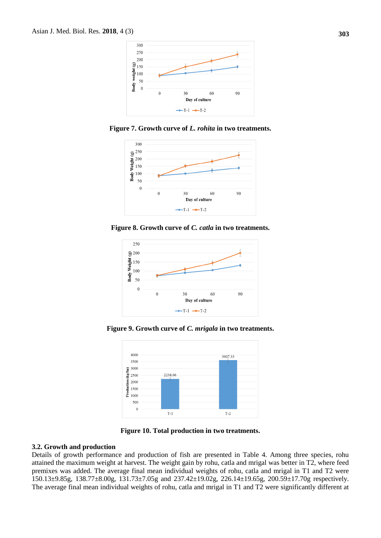

**Figure 7. Growth curve of** *L. rohita* **in two treatments.**



**Figure 8. Growth curve of** *C. catla* **in two treatments.**



**Figure 9. Growth curve of** *C. mrigala* **in two treatments.**



**Figure 10. Total production in two treatments.**

#### **3.2. Growth and production**

Details of growth performance and production of fish are presented in Table 4. Among three species, rohu attained the maximum weight at harvest. The weight gain by rohu, catla and mrigal was better in T2, where feed premixes was added. The average final mean individual weights of rohu, catla and mrigal in T1 and T2 were 150.13±9.85g, 138.77±8.00g, 131.73±7.05g and 237.42±19.02g, 226.14±19.65g, 200.59±17.70g respectively. The average final mean individual weights of rohu, catla and mrigal in T1 and T2 were significantly different at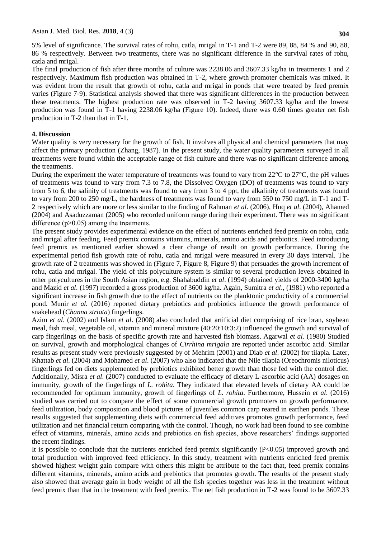5% level of significance. The survival rates of rohu, catla, mrigal in T-1 and T-2 were 89, 88, 84 % and 90, 88, 86 % respectively. Between two treatments, there was no significant difference in the survival rates of rohu, catla and mrigal.

The final production of fish after three months of culture was 2238.06 and 3607.33 kg/ha in treatments 1 and 2 respectively. Maximum fish production was obtained in T-2, where growth promoter chemicals was mixed. It was evident from the result that growth of rohu, catla and mrigal in ponds that were treated by feed premix varies (Figure 7-9). Statistical analysis showed that there was significant differences in the production between these treatments. The highest production rate was observed in T-2 having 3607.33 kg/ha and the lowest production was found in T-1 having 2238.06 kg/ha (Figure 10). Indeed, there was 0.60 times greater net fish production in T-2 than that in T-1.

#### **4. Discussion**

Water quality is very necessary for the growth of fish. It involves all physical and chemical parameters that may affect the primary production (Zhang, 1987). In the present study, the water quality parameters surveyed in all treatments were found within the acceptable range of fish culture and there was no significant difference among the treatments.

During the experiment the water temperature of treatments was found to vary from 22°C to 27°C, the pH values of treatments was found to vary from 7.3 to 7.8, the Dissolved Oxygen (DO) of treatments was found to vary from 5 to 6, the salinity of treatments was found to vary from 3 to 4 ppt, the alkalinity of treatments was found to vary from 200 to 250 mg/L, the hardness of treatments was found to vary from 550 to 750 mg/L in T-1 and T-2 respectively which are more or less similar to the finding of Rahman *et al*. (2006), Huq *et al*. (2004), Ahamed (2004) and Asaduzzaman (2005) who recorded uniform range during their experiment. There was no significant difference  $(p>0.05)$  among the treatments.

The present study provides experimental evidence on the effect of nutrients enriched feed premix on rohu, catla and mrigal after feeding. Feed premix contains vitamins, minerals, amino acids and prebiotics. Feed introducing feed premix as mentioned earlier showed a clear change of result on growth performance. During the experimental period fish growth rate of rohu, catla and mrigal were measured in every 30 days interval. The growth rate of 2 treatments was showed in (Figure 7, Figure 8, Figure 9) that persuades the growth increment of rohu, catla and mrigal. The yield of this polyculture system is similar to several production levels obtained in other polycultures in the South Asian region, e.g. Shahabuddin *et al*. (1994) obtained yields of 2000-3400 kg/ha and Mazid *et al*. (1997) recorded a gross production of 3600 kg/ha. Again, Sumitra *et al*., (1981) who reported a significant increase in fish growth due to the effect of nutrients on the planktonic productivity of a commercial pond. Munir *et al.* (2016) reported dietary prebiotics and probiotics influence the growth performance of snakehead (*Channa striata*) fingerlings.

Azim *et al*. (2002) and Islam *et al*. (2008) also concluded that artificial diet comprising of rice bran, soybean meal, fish meal, vegetable oil, vitamin and mineral mixture (40:20:10:3:2) influenced the growth and survival of carp fingerlings on the basis of specific growth rate and harvested fish biomass. Agarwal *et al*. (1980) Studied on survival, growth and morphological changes of *Cirrhina mrigala* are reported under ascorbic acid. Similar results as present study were previously suggested by of Mehrim (2001) and Diab *et al*. (2002) for tilapia. Later, Khattab *et al*. (2004) and Mohamed *et al*. (2007) who also indicated that the Nile tilapia (Oreochromis niloticus) fingerlings fed on diets supplemented by prebiotics exhibited better growth than those fed with the control diet. Additionally, Misra *et al*. (2007) conducted to evaluate the efficacy of dietary L-ascorbic acid (AA) dosages on immunity, growth of the fingerlings of *L. rohita*. They indicated that elevated levels of dietary AA could be recommended for optimum immunity, growth of fingerlings of *L. rohita*. Furthermore, Hussein *et al*. (2016) studied was carried out to compare the effect of some commercial growth promoters on growth performance, feed utilization, body composition and blood pictures of juveniles common carp reared in earthen ponds. These results suggested that supplementing diets with commercial feed additives promotes growth performance, feed utilization and net financial return comparing with the control. Though, no work had been found to see combine effect of vitamins, minerals, amino acids and prebiotics on fish species, above researchers' findings supported the recent findings.

It is possible to conclude that the nutrients enriched feed premix significantly  $(P<0.05)$  improved growth and total production with improved feed efficiency. In this study, treatment with nutrients enriched feed premix showed highest weight gain compare with others this might be attribute to the fact that, feed premix contains different vitamins, minerals, amino acids and prebiotics that promotes growth. The results of the present study also showed that average gain in body weight of all the fish species together was less in the treatment without feed premix than that in the treatment with feed premix. The net fish production in T-2 was found to be 3607.33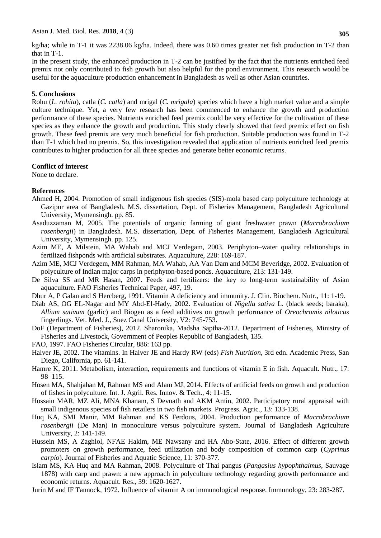Asian J. Med. Biol. Res. **2018**, 4 (3)

kg/ha; while in T-1 it was 2238.06 kg/ha. Indeed, there was 0.60 times greater net fish production in T-2 than that in T-1.

In the present study, the enhanced production in T-2 can be justified by the fact that the nutrients enriched feed premix not only contributed to fish growth but also helpful for the pond environment. This research would be useful for the aquaculture production enhancement in Bangladesh as well as other Asian countries.

#### **5. Conclusions**

Rohu (*L. rohita*), catla (*C. catla*) and mrigal (*C. mrigala*) species which have a high market value and a simple culture technique. Yet, a very few research has been commenced to enhance the growth and production performance of these species. Nutrients enriched feed premix could be very effective for the cultivation of these species as they enhance the growth and production. This study clearly showed that feed premix effect on fish growth. These feed premix are very much beneficial for fish production. Suitable production was found in T-2 than T-1 which had no premix. So, this investigation revealed that application of nutrients enriched feed premix contributes to higher production for all three species and generate better economic returns.

#### **Conflict of interest**

None to declare.

#### **References**

- Ahmed H, 2004. Promotion of small indigenous fish species (SIS)-mola based carp polyculture technology at Gazipur area of Bangladesh. M.S. dissertation, Dept. of Fisheries Management, Bangladesh Agricultural University, Mymensingh. pp. 85.
- Asaduzzaman M, 2005. The potentials of organic farming of giant freshwater prawn (*Macrobrachium rosenbergii*) in Bangladesh. M.S. dissertation, Dept. of Fisheries Management, Bangladesh Agricultural University, Mymensingh. pp. 125.
- Azim ME, A Milstein, MA Wahab and MCJ Verdegam, 2003. Periphyton–water quality relationships in fertilized fishponds with artificial substrates. Aquaculture, 228: 169-187.
- Azim ME, MCJ Verdegem, MM Rahman, MA Wahab, AA Van Dam and MCM Beveridge, 2002. Evaluation of polyculture of Indian major carps in periphyton-based ponds. Aquaculture, 213: 131-149.
- De Silva SS and MR Hasan, 2007. Feeds and fertilizers: the key to long-term sustainability of Asian aquaculture. FAO Fisheries Technical Paper, 497, 19.
- Dhur A, P Galan and S Hercberg, 1991. Vitamin A deficiency and immunity. J. Clin. Biochem. Nutr., 11: 1-19.
- Diab AS, OG EL-Nagar and MY Abd-El-Hady, 2002. Evaluation of *Nigella sativa* L. (black seeds; baraka), *Allium sativum* (garlic) and Biogen as a feed additives on growth performance of *Oreochromis niloticus* fingerlings. Vet. Med. J., Suez Canal University, V2: 745-753.
- DoF (Department of Fisheries), 2012. Sharonika, Madsha Saptha-2012. Department of Fisheries, Ministry of Fisheries and Livestock, Government of Peoples Republic of Bangladesh, 135.
- FAO, 1997. FAO Fisheries Circular, 886: 163 pp.
- Halver JE, 2002. The vitamins. In Halver JE and Hardy RW (eds) *Fish Nutrition*, 3rd edn. Academic Press, San Diego, California, pp. 61-141.
- Hamre K, 2011. Metabolism, interaction, requirements and functions of vitamin E in fish. Aquacult. Nutr., 17: 98–115.
- Hosen MA, Shahjahan M, Rahman MS and Alam MJ, 2014. Effects of artificial feeds on growth and production of fishes in polyculture. Int. J. Agril. Res. Innov. & Tech., 4: 11-15.
- Hossain MAR, MZ Ali, MNA Khanam, S Devnath and AKM Amin, 2002. Participatory rural appraisal with small indigenous species of fish retailers in two fish markets. Progress. Agric., 13: 133-138.
- Huq KA, SMI Manir, MM Rahman and KS Ferdous, 2004. Production performance of *Macrobrachium rosenbergii* (De Man) in monoculture versus polyculture system. Journal of Bangladesh Agriculture University, 2: 141-149.
- Hussein MS, A Zaghlol, NFAE Hakim, ME Nawsany and HA Abo-State, 2016. Effect of different growth promoters on growth performance, feed utilization and body composition of common carp (*Cyprinus carpio*). Journal of Fisheries and Aquatic Science, 11: 370-377.
- Islam MS, KA Huq and MA Rahman, 2008. Polyculture of Thai pangus (*Pangasius hypophthalmus*, Sauvage 1878) with carp and prawn: a new approach in polyculture technology regarding growth performance and economic returns. Aquacult. Res., 39: 1620-1627.

Jurin M and IF Tannock, 1972. Influence of vitamin A on immunological response. Immunology, 23: 283-287.